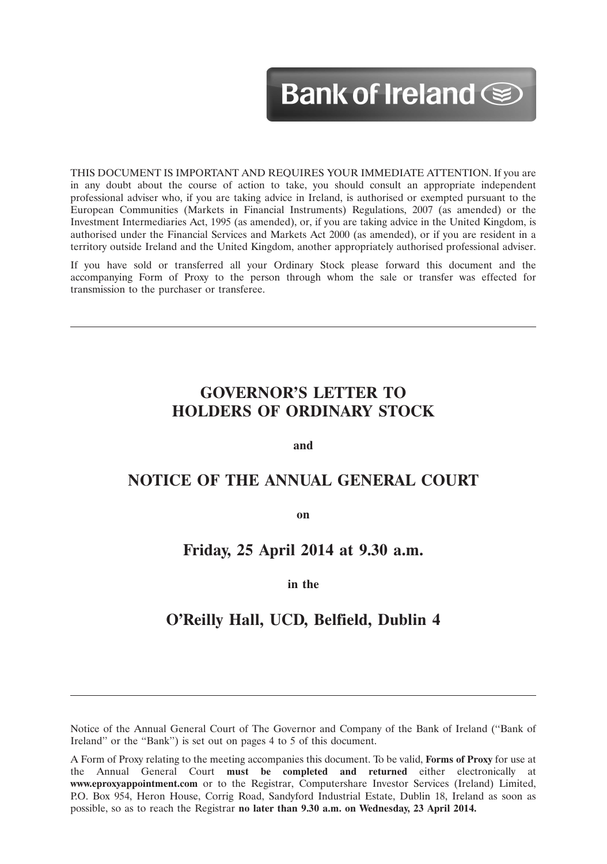# Bank of Ireland See

12MAR201310073563

THIS DOCUMENT IS IMPORTANT AND REQUIRES YOUR IMMEDIATE ATTENTION. If you are in any doubt about the course of action to take, you should consult an appropriate independent professional adviser who, if you are taking advice in Ireland, is authorised or exempted pursuant to the European Communities (Markets in Financial Instruments) Regulations, 2007 (as amended) or the Investment Intermediaries Act, 1995 (as amended), or, if you are taking advice in the United Kingdom, is authorised under the Financial Services and Markets Act 2000 (as amended), or if you are resident in a territory outside Ireland and the United Kingdom, another appropriately authorised professional adviser.

If you have sold or transferred all your Ordinary Stock please forward this document and the accompanying Form of Proxy to the person through whom the sale or transfer was effected for transmission to the purchaser or transferee.

# **GOVERNOR'S LETTER TO HOLDERS OF ORDINARY STOCK**

**and**

# **NOTICE OF THE ANNUAL GENERAL COURT**

**on**

# **Friday, 25 April 2014 at 9.30 a.m.**

# **in the**

# **O'Reilly Hall, UCD, Belfield, Dublin 4**

Notice of the Annual General Court of The Governor and Company of the Bank of Ireland (''Bank of Ireland'' or the ''Bank'') is set out on pages 4 to 5 of this document.

A Form of Proxy relating to the meeting accompanies this document. To be valid, **Forms of Proxy** for use at the Annual General Court **must be completed and returned** either electronically at **www.eproxyappointment.com** or to the Registrar, Computershare Investor Services (Ireland) Limited, P.O. Box 954, Heron House, Corrig Road, Sandyford Industrial Estate, Dublin 18, Ireland as soon as possible, so as to reach the Registrar **no later than 9.30 a.m. on Wednesday, 23 April 2014.**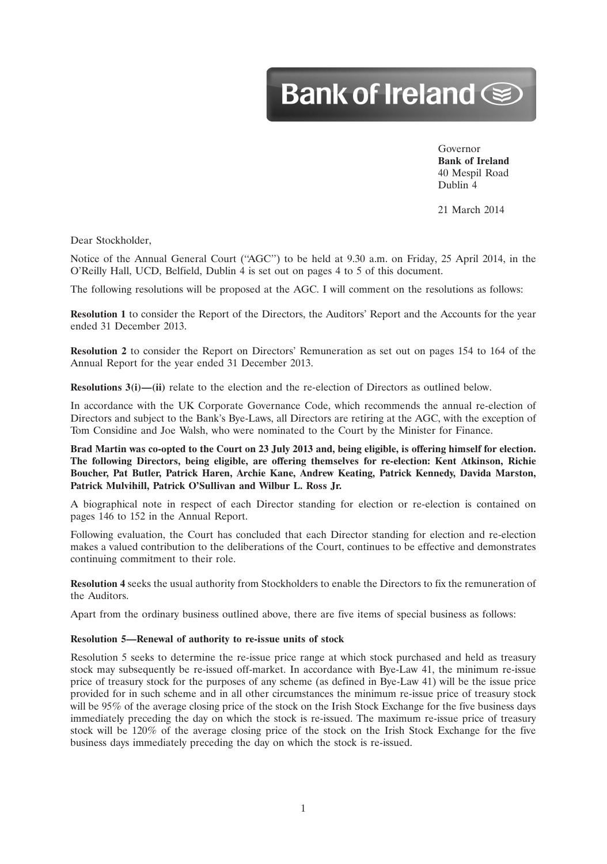# Bank of Ireland Separate

Governor **Bank of Ireland** 40 Mespil Road Dublin 4

12MAR201310073563

21 March 2014

Dear Stockholder,

Notice of the Annual General Court (''AGC'') to be held at 9.30 a.m. on Friday, 25 April 2014, in the O'Reilly Hall, UCD, Belfield, Dublin 4 is set out on pages 4 to 5 of this document.

The following resolutions will be proposed at the AGC. I will comment on the resolutions as follows:

**Resolution 1** to consider the Report of the Directors, the Auditors' Report and the Accounts for the year ended 31 December 2013.

**Resolution 2** to consider the Report on Directors' Remuneration as set out on pages 154 to 164 of the Annual Report for the year ended 31 December 2013.

**Resolutions 3(i)—(ii)** relate to the election and the re-election of Directors as outlined below.

In accordance with the UK Corporate Governance Code, which recommends the annual re-election of Directors and subject to the Bank's Bye-Laws, all Directors are retiring at the AGC, with the exception of Tom Considine and Joe Walsh, who were nominated to the Court by the Minister for Finance.

**Brad Martin was co-opted to the Court on 23 July 2013 and, being eligible, is offering himself for election. The following Directors, being eligible, are offering themselves for re-election: Kent Atkinson, Richie Boucher, Pat Butler, Patrick Haren, Archie Kane, Andrew Keating, Patrick Kennedy, Davida Marston, Patrick Mulvihill, Patrick O'Sullivan and Wilbur L. Ross Jr.**

A biographical note in respect of each Director standing for election or re-election is contained on pages 146 to 152 in the Annual Report.

Following evaluation, the Court has concluded that each Director standing for election and re-election makes a valued contribution to the deliberations of the Court, continues to be effective and demonstrates continuing commitment to their role.

**Resolution 4** seeks the usual authority from Stockholders to enable the Directors to fix the remuneration of the Auditors.

Apart from the ordinary business outlined above, there are five items of special business as follows:

#### **Resolution 5—Renewal of authority to re-issue units of stock**

Resolution 5 seeks to determine the re-issue price range at which stock purchased and held as treasury stock may subsequently be re-issued off-market. In accordance with Bye-Law 41, the minimum re-issue price of treasury stock for the purposes of any scheme (as defined in Bye-Law 41) will be the issue price provided for in such scheme and in all other circumstances the minimum re-issue price of treasury stock will be 95% of the average closing price of the stock on the Irish Stock Exchange for the five business days immediately preceding the day on which the stock is re-issued. The maximum re-issue price of treasury stock will be 120% of the average closing price of the stock on the Irish Stock Exchange for the five business days immediately preceding the day on which the stock is re-issued.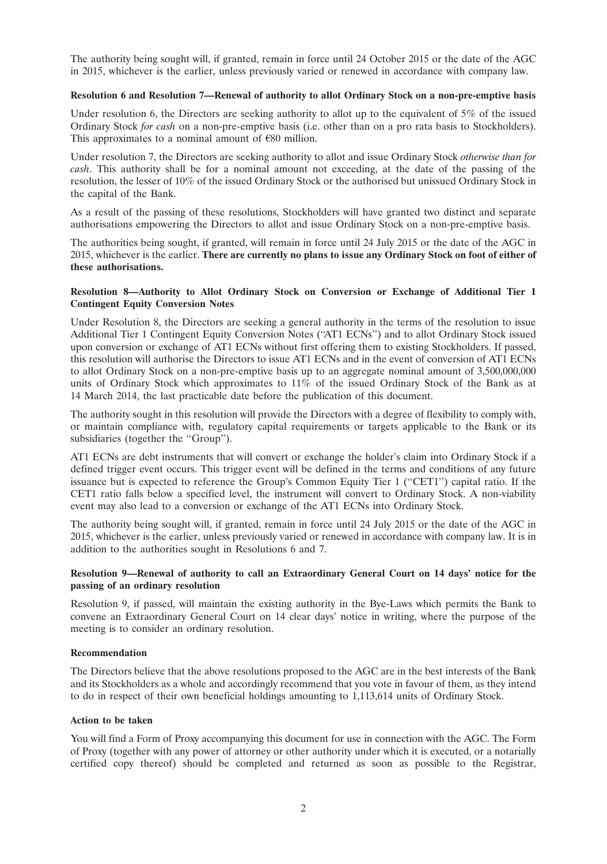The authority being sought will, if granted, remain in force until 24 October 2015 or the date of the AGC in 2015, whichever is the earlier, unless previously varied or renewed in accordance with company law.

#### **Resolution 6 and Resolution 7—Renewal of authority to allot Ordinary Stock on a non-pre-emptive basis**

Under resolution 6, the Directors are seeking authority to allot up to the equivalent of 5% of the issued Ordinary Stock *for cash* on a non-pre-emptive basis (i.e. other than on a pro rata basis to Stockholders). This approximates to a nominal amount of  $\epsilon$ 80 million.

Under resolution 7, the Directors are seeking authority to allot and issue Ordinary Stock *otherwise than for cash*. This authority shall be for a nominal amount not exceeding, at the date of the passing of the resolution, the lesser of 10% of the issued Ordinary Stock or the authorised but unissued Ordinary Stock in the capital of the Bank.

As a result of the passing of these resolutions, Stockholders will have granted two distinct and separate authorisations empowering the Directors to allot and issue Ordinary Stock on a non-pre-emptive basis.

The authorities being sought, if granted, will remain in force until 24 July 2015 or the date of the AGC in 2015, whichever is the earlier. **There are currently no plans to issue any Ordinary Stock on foot of either of these authorisations.**

## **Resolution 8—Authority to Allot Ordinary Stock on Conversion or Exchange of Additional Tier 1 Contingent Equity Conversion Notes**

Under Resolution 8, the Directors are seeking a general authority in the terms of the resolution to issue Additional Tier 1 Contingent Equity Conversion Notes (''AT1 ECNs'') and to allot Ordinary Stock issued upon conversion or exchange of AT1 ECNs without first offering them to existing Stockholders. If passed, this resolution will authorise the Directors to issue AT1 ECNs and in the event of conversion of AT1 ECNs to allot Ordinary Stock on a non-pre-emptive basis up to an aggregate nominal amount of 3,500,000,000 units of Ordinary Stock which approximates to 11% of the issued Ordinary Stock of the Bank as at 14 March 2014, the last practicable date before the publication of this document.

The authority sought in this resolution will provide the Directors with a degree of flexibility to comply with, or maintain compliance with, regulatory capital requirements or targets applicable to the Bank or its subsidiaries (together the "Group").

AT1 ECNs are debt instruments that will convert or exchange the holder's claim into Ordinary Stock if a defined trigger event occurs. This trigger event will be defined in the terms and conditions of any future issuance but is expected to reference the Group's Common Equity Tier 1 (''CET1'') capital ratio. If the CET1 ratio falls below a specified level, the instrument will convert to Ordinary Stock. A non-viability event may also lead to a conversion or exchange of the AT1 ECNs into Ordinary Stock.

The authority being sought will, if granted, remain in force until 24 July 2015 or the date of the AGC in 2015, whichever is the earlier, unless previously varied or renewed in accordance with company law. It is in addition to the authorities sought in Resolutions 6 and 7.

# **Resolution 9—Renewal of authority to call an Extraordinary General Court on 14 days' notice for the passing of an ordinary resolution**

Resolution 9, if passed, will maintain the existing authority in the Bye-Laws which permits the Bank to convene an Extraordinary General Court on 14 clear days' notice in writing, where the purpose of the meeting is to consider an ordinary resolution.

## **Recommendation**

The Directors believe that the above resolutions proposed to the AGC are in the best interests of the Bank and its Stockholders as a whole and accordingly recommend that you vote in favour of them, as they intend to do in respect of their own beneficial holdings amounting to 1,113,614 units of Ordinary Stock.

## **Action to be taken**

You will find a Form of Proxy accompanying this document for use in connection with the AGC. The Form of Proxy (together with any power of attorney or other authority under which it is executed, or a notarially certified copy thereof) should be completed and returned as soon as possible to the Registrar,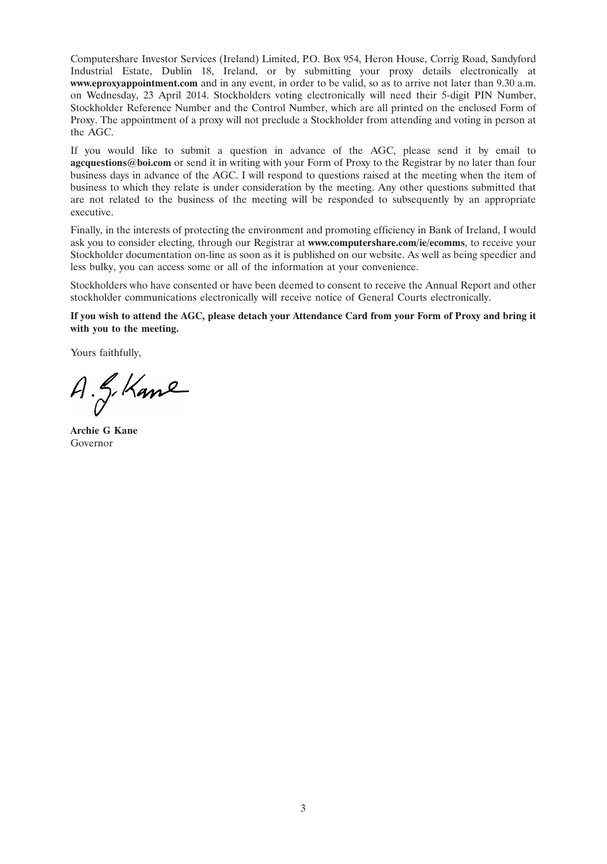Computershare Investor Services (Ireland) Limited, P.O. Box 954, Heron House, Corrig Road, Sandyford Industrial Estate, Dublin 18, Ireland, or by submitting your proxy details electronically at **www.eproxyappointment.com** and in any event, in order to be valid, so as to arrive not later than 9.30 a.m. on Wednesday, 23 April 2014. Stockholders voting electronically will need their 5-digit PIN Number, Stockholder Reference Number and the Control Number, which are all printed on the enclosed Form of Proxy. The appointment of a proxy will not preclude a Stockholder from attending and voting in person at the AGC.

If you would like to submit a question in advance of the AGC, please send it by email to **agcquestions@boi.com** or send it in writing with your Form of Proxy to the Registrar by no later than four business days in advance of the AGC. I will respond to questions raised at the meeting when the item of business to which they relate is under consideration by the meeting. Any other questions submitted that are not related to the business of the meeting will be responded to subsequently by an appropriate executive.

Finally, in the interests of protecting the environment and promoting efficiency in Bank of Ireland, I would ask you to consider electing, through our Registrar at **www.computershare.com/ie/ecomms**, to receive your Stockholder documentation on-line as soon as it is published on our website. As well as being speedier and less bulky, you can access some or all of the information at your convenience.

Stockholders who have consented or have been deemed to consent to receive the Annual Report and other stockholder communications electronically will receive notice of General Courts electronically.

**If you wish to attend the AGC, please detach your Attendance Card from your Form of Proxy and bring it with you to the meeting.**

Yours faithfully,

A. G. Kane

**Archie G Kane** Governor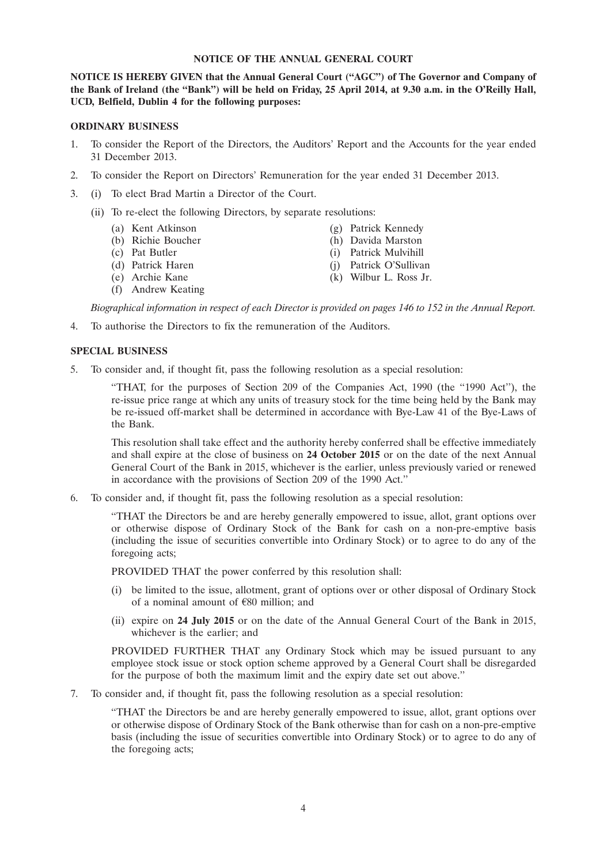#### **NOTICE OF THE ANNUAL GENERAL COURT**

**NOTICE IS HEREBY GIVEN that the Annual General Court (''AGC'') of The Governor and Company of the Bank of Ireland (the ''Bank'') will be held on Friday, 25 April 2014, at 9.30 a.m. in the O'Reilly Hall, UCD, Belfield, Dublin 4 for the following purposes:**

#### **ORDINARY BUSINESS**

- 1. To consider the Report of the Directors, the Auditors' Report and the Accounts for the year ended 31 December 2013.
- 2. To consider the Report on Directors' Remuneration for the year ended 31 December 2013.
- 3. (i) To elect Brad Martin a Director of the Court.
	- (ii) To re-elect the following Directors, by separate resolutions:
		- (a) Kent Atkinson (g) Patrick Kennedy
		- (b) Richie Boucher (h) Davida Marston
		- (c) Pat Butler (i) Patrick Mulvihill
		- (d) Patrick Haren (j) Patrick O'Sullivan
		- (e) Archie Kane (k) Wilbur L. Ross Jr.
		- (f) Andrew Keating

- 
- 

*Biographical information in respect of each Director is provided on pages 146 to 152 in the Annual Report.*

4. To authorise the Directors to fix the remuneration of the Auditors.

#### **SPECIAL BUSINESS**

5. To consider and, if thought fit, pass the following resolution as a special resolution:

''THAT, for the purposes of Section 209 of the Companies Act, 1990 (the ''1990 Act''), the re-issue price range at which any units of treasury stock for the time being held by the Bank may be re-issued off-market shall be determined in accordance with Bye-Law 41 of the Bye-Laws of the Bank.

This resolution shall take effect and the authority hereby conferred shall be effective immediately and shall expire at the close of business on **24 October 2015** or on the date of the next Annual General Court of the Bank in 2015, whichever is the earlier, unless previously varied or renewed in accordance with the provisions of Section 209 of the 1990 Act.''

6. To consider and, if thought fit, pass the following resolution as a special resolution:

''THAT the Directors be and are hereby generally empowered to issue, allot, grant options over or otherwise dispose of Ordinary Stock of the Bank for cash on a non-pre-emptive basis (including the issue of securities convertible into Ordinary Stock) or to agree to do any of the foregoing acts;

PROVIDED THAT the power conferred by this resolution shall:

- (i) be limited to the issue, allotment, grant of options over or other disposal of Ordinary Stock of a nominal amount of  $E80$  million; and
- (ii) expire on **24 July 2015** or on the date of the Annual General Court of the Bank in 2015, whichever is the earlier; and

PROVIDED FURTHER THAT any Ordinary Stock which may be issued pursuant to any employee stock issue or stock option scheme approved by a General Court shall be disregarded for the purpose of both the maximum limit and the expiry date set out above.''

7. To consider and, if thought fit, pass the following resolution as a special resolution:

''THAT the Directors be and are hereby generally empowered to issue, allot, grant options over or otherwise dispose of Ordinary Stock of the Bank otherwise than for cash on a non-pre-emptive basis (including the issue of securities convertible into Ordinary Stock) or to agree to do any of the foregoing acts;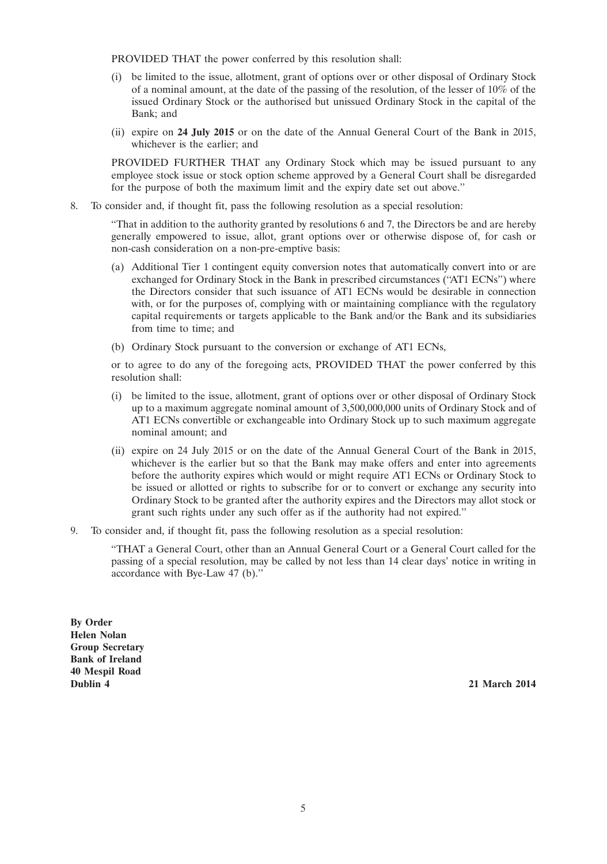PROVIDED THAT the power conferred by this resolution shall:

- (i) be limited to the issue, allotment, grant of options over or other disposal of Ordinary Stock of a nominal amount, at the date of the passing of the resolution, of the lesser of 10% of the issued Ordinary Stock or the authorised but unissued Ordinary Stock in the capital of the Bank; and
- (ii) expire on **24 July 2015** or on the date of the Annual General Court of the Bank in 2015, whichever is the earlier; and

PROVIDED FURTHER THAT any Ordinary Stock which may be issued pursuant to any employee stock issue or stock option scheme approved by a General Court shall be disregarded for the purpose of both the maximum limit and the expiry date set out above.''

8. To consider and, if thought fit, pass the following resolution as a special resolution:

''That in addition to the authority granted by resolutions 6 and 7, the Directors be and are hereby generally empowered to issue, allot, grant options over or otherwise dispose of, for cash or non-cash consideration on a non-pre-emptive basis:

- (a) Additional Tier 1 contingent equity conversion notes that automatically convert into or are exchanged for Ordinary Stock in the Bank in prescribed circumstances ("AT1 ECNs") where the Directors consider that such issuance of AT1 ECNs would be desirable in connection with, or for the purposes of, complying with or maintaining compliance with the regulatory capital requirements or targets applicable to the Bank and/or the Bank and its subsidiaries from time to time; and
- (b) Ordinary Stock pursuant to the conversion or exchange of AT1 ECNs,

or to agree to do any of the foregoing acts, PROVIDED THAT the power conferred by this resolution shall:

- (i) be limited to the issue, allotment, grant of options over or other disposal of Ordinary Stock up to a maximum aggregate nominal amount of 3,500,000,000 units of Ordinary Stock and of AT1 ECNs convertible or exchangeable into Ordinary Stock up to such maximum aggregate nominal amount; and
- (ii) expire on 24 July 2015 or on the date of the Annual General Court of the Bank in 2015, whichever is the earlier but so that the Bank may make offers and enter into agreements before the authority expires which would or might require AT1 ECNs or Ordinary Stock to be issued or allotted or rights to subscribe for or to convert or exchange any security into Ordinary Stock to be granted after the authority expires and the Directors may allot stock or grant such rights under any such offer as if the authority had not expired.''
- 9. To consider and, if thought fit, pass the following resolution as a special resolution:

''THAT a General Court, other than an Annual General Court or a General Court called for the passing of a special resolution, may be called by not less than 14 clear days' notice in writing in accordance with Bye-Law 47 (b).''

**By Order Helen Nolan Group Secretary Bank of Ireland 40 Mespil Road Dublin 4 21 March 2014**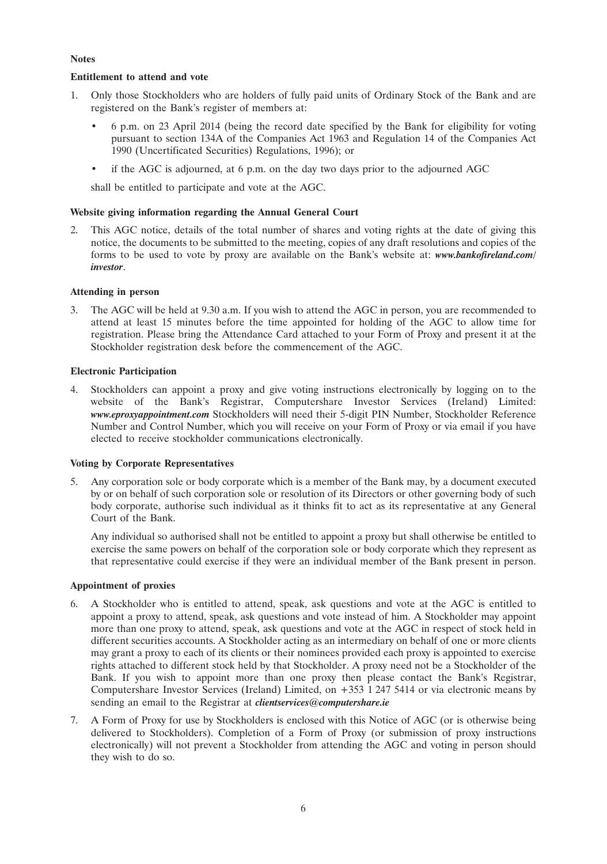# **Notes**

# **Entitlement to attend and vote**

- 1. Only those Stockholders who are holders of fully paid units of Ordinary Stock of the Bank and are registered on the Bank's register of members at:
	- 6 p.m. on 23 April 2014 (being the record date specified by the Bank for eligibility for voting pursuant to section 134A of the Companies Act 1963 and Regulation 14 of the Companies Act 1990 (Uncertificated Securities) Regulations, 1996); or
	- if the AGC is adjourned, at 6 p.m. on the day two days prior to the adjourned AGC

shall be entitled to participate and vote at the AGC.

# **Website giving information regarding the Annual General Court**

2. This AGC notice, details of the total number of shares and voting rights at the date of giving this notice, the documents to be submitted to the meeting, copies of any draft resolutions and copies of the forms to be used to vote by proxy are available on the Bank's website at: *www.bankofireland.com/ investor*.

# **Attending in person**

3. The AGC will be held at 9.30 a.m. If you wish to attend the AGC in person, you are recommended to attend at least 15 minutes before the time appointed for holding of the AGC to allow time for registration. Please bring the Attendance Card attached to your Form of Proxy and present it at the Stockholder registration desk before the commencement of the AGC.

# **Electronic Participation**

4. Stockholders can appoint a proxy and give voting instructions electronically by logging on to the website of the Bank's Registrar, Computershare Investor Services (Ireland) Limited: *www.eproxyappointment.com* Stockholders will need their 5-digit PIN Number, Stockholder Reference Number and Control Number, which you will receive on your Form of Proxy or via email if you have elected to receive stockholder communications electronically.

# **Voting by Corporate Representatives**

5. Any corporation sole or body corporate which is a member of the Bank may, by a document executed by or on behalf of such corporation sole or resolution of its Directors or other governing body of such body corporate, authorise such individual as it thinks fit to act as its representative at any General Court of the Bank.

Any individual so authorised shall not be entitled to appoint a proxy but shall otherwise be entitled to exercise the same powers on behalf of the corporation sole or body corporate which they represent as that representative could exercise if they were an individual member of the Bank present in person.

## **Appointment of proxies**

- 6. A Stockholder who is entitled to attend, speak, ask questions and vote at the AGC is entitled to appoint a proxy to attend, speak, ask questions and vote instead of him. A Stockholder may appoint more than one proxy to attend, speak, ask questions and vote at the AGC in respect of stock held in different securities accounts. A Stockholder acting as an intermediary on behalf of one or more clients may grant a proxy to each of its clients or their nominees provided each proxy is appointed to exercise rights attached to different stock held by that Stockholder. A proxy need not be a Stockholder of the Bank. If you wish to appoint more than one proxy then please contact the Bank's Registrar, Computershare Investor Services (Ireland) Limited, on +353 1 247 5414 or via electronic means by sending an email to the Registrar at *clientservices@computershare.ie*
- 7. A Form of Proxy for use by Stockholders is enclosed with this Notice of AGC (or is otherwise being delivered to Stockholders). Completion of a Form of Proxy (or submission of proxy instructions electronically) will not prevent a Stockholder from attending the AGC and voting in person should they wish to do so.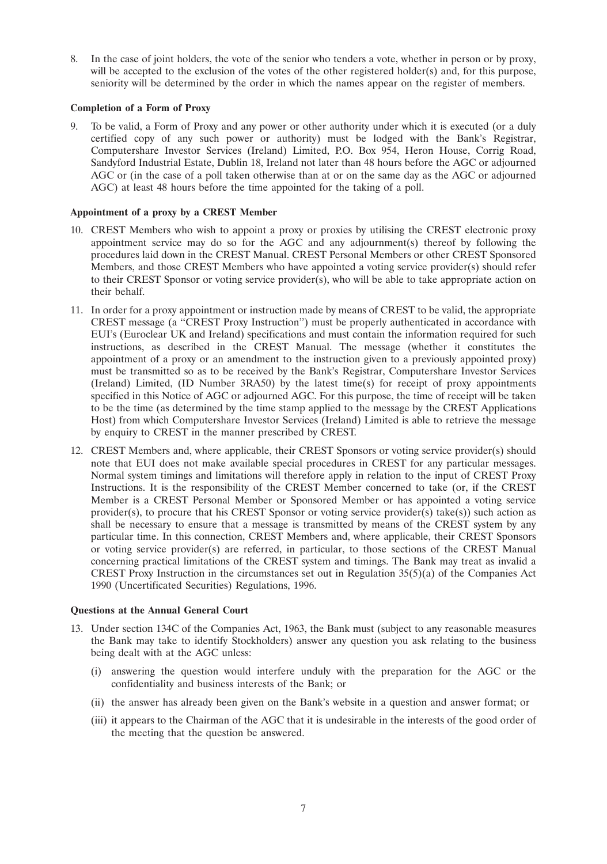8. In the case of joint holders, the vote of the senior who tenders a vote, whether in person or by proxy, will be accepted to the exclusion of the votes of the other registered holder(s) and, for this purpose, seniority will be determined by the order in which the names appear on the register of members.

## **Completion of a Form of Proxy**

9. To be valid, a Form of Proxy and any power or other authority under which it is executed (or a duly certified copy of any such power or authority) must be lodged with the Bank's Registrar, Computershare Investor Services (Ireland) Limited, P.O. Box 954, Heron House, Corrig Road, Sandyford Industrial Estate, Dublin 18, Ireland not later than 48 hours before the AGC or adjourned AGC or (in the case of a poll taken otherwise than at or on the same day as the AGC or adjourned AGC) at least 48 hours before the time appointed for the taking of a poll.

#### **Appointment of a proxy by a CREST Member**

- 10. CREST Members who wish to appoint a proxy or proxies by utilising the CREST electronic proxy appointment service may do so for the AGC and any adjournment(s) thereof by following the procedures laid down in the CREST Manual. CREST Personal Members or other CREST Sponsored Members, and those CREST Members who have appointed a voting service provider(s) should refer to their CREST Sponsor or voting service provider(s), who will be able to take appropriate action on their behalf.
- 11. In order for a proxy appointment or instruction made by means of CREST to be valid, the appropriate CREST message (a ''CREST Proxy Instruction'') must be properly authenticated in accordance with EUI's (Euroclear UK and Ireland) specifications and must contain the information required for such instructions, as described in the CREST Manual. The message (whether it constitutes the appointment of a proxy or an amendment to the instruction given to a previously appointed proxy) must be transmitted so as to be received by the Bank's Registrar, Computershare Investor Services (Ireland) Limited, (ID Number 3RA50) by the latest time(s) for receipt of proxy appointments specified in this Notice of AGC or adjourned AGC. For this purpose, the time of receipt will be taken to be the time (as determined by the time stamp applied to the message by the CREST Applications Host) from which Computershare Investor Services (Ireland) Limited is able to retrieve the message by enquiry to CREST in the manner prescribed by CREST.
- 12. CREST Members and, where applicable, their CREST Sponsors or voting service provider(s) should note that EUI does not make available special procedures in CREST for any particular messages. Normal system timings and limitations will therefore apply in relation to the input of CREST Proxy Instructions. It is the responsibility of the CREST Member concerned to take (or, if the CREST Member is a CREST Personal Member or Sponsored Member or has appointed a voting service provider(s), to procure that his CREST Sponsor or voting service provider(s) take(s)) such action as shall be necessary to ensure that a message is transmitted by means of the CREST system by any particular time. In this connection, CREST Members and, where applicable, their CREST Sponsors or voting service provider(s) are referred, in particular, to those sections of the CREST Manual concerning practical limitations of the CREST system and timings. The Bank may treat as invalid a CREST Proxy Instruction in the circumstances set out in Regulation  $35(5)(a)$  of the Companies Act 1990 (Uncertificated Securities) Regulations, 1996.

#### **Questions at the Annual General Court**

- 13. Under section 134C of the Companies Act, 1963, the Bank must (subject to any reasonable measures the Bank may take to identify Stockholders) answer any question you ask relating to the business being dealt with at the AGC unless:
	- (i) answering the question would interfere unduly with the preparation for the AGC or the confidentiality and business interests of the Bank; or
	- (ii) the answer has already been given on the Bank's website in a question and answer format; or
	- (iii) it appears to the Chairman of the AGC that it is undesirable in the interests of the good order of the meeting that the question be answered.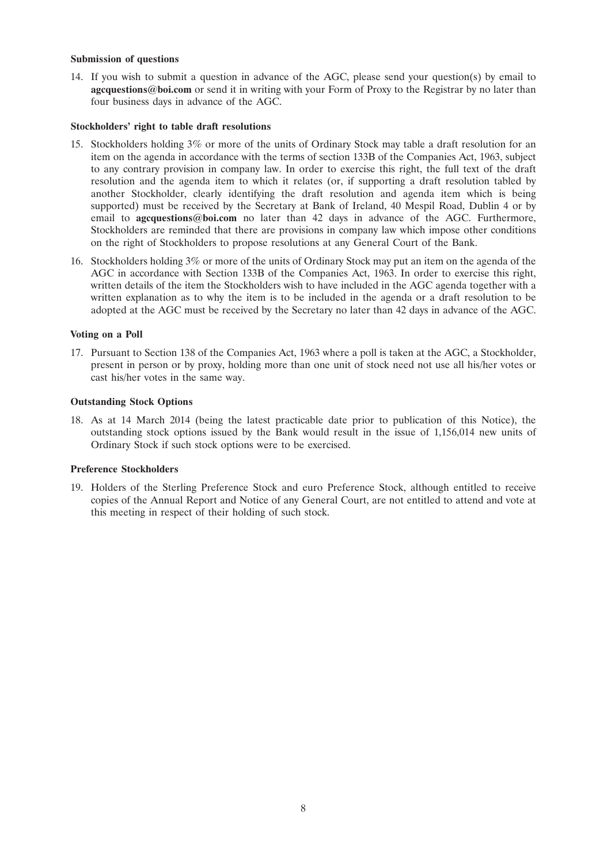#### **Submission of questions**

14. If you wish to submit a question in advance of the AGC, please send your question(s) by email to **agcquestions@boi.com** or send it in writing with your Form of Proxy to the Registrar by no later than four business days in advance of the AGC.

#### **Stockholders' right to table draft resolutions**

- 15. Stockholders holding 3% or more of the units of Ordinary Stock may table a draft resolution for an item on the agenda in accordance with the terms of section 133B of the Companies Act, 1963, subject to any contrary provision in company law. In order to exercise this right, the full text of the draft resolution and the agenda item to which it relates (or, if supporting a draft resolution tabled by another Stockholder, clearly identifying the draft resolution and agenda item which is being supported) must be received by the Secretary at Bank of Ireland, 40 Mespil Road, Dublin 4 or by email to **agcquestions@boi.com** no later than 42 days in advance of the AGC. Furthermore, Stockholders are reminded that there are provisions in company law which impose other conditions on the right of Stockholders to propose resolutions at any General Court of the Bank.
- 16. Stockholders holding 3% or more of the units of Ordinary Stock may put an item on the agenda of the AGC in accordance with Section 133B of the Companies Act, 1963. In order to exercise this right, written details of the item the Stockholders wish to have included in the AGC agenda together with a written explanation as to why the item is to be included in the agenda or a draft resolution to be adopted at the AGC must be received by the Secretary no later than 42 days in advance of the AGC.

#### **Voting on a Poll**

17. Pursuant to Section 138 of the Companies Act, 1963 where a poll is taken at the AGC, a Stockholder, present in person or by proxy, holding more than one unit of stock need not use all his/her votes or cast his/her votes in the same way.

# **Outstanding Stock Options**

18. As at 14 March 2014 (being the latest practicable date prior to publication of this Notice), the outstanding stock options issued by the Bank would result in the issue of 1,156,014 new units of Ordinary Stock if such stock options were to be exercised.

#### **Preference Stockholders**

19. Holders of the Sterling Preference Stock and euro Preference Stock, although entitled to receive copies of the Annual Report and Notice of any General Court, are not entitled to attend and vote at this meeting in respect of their holding of such stock.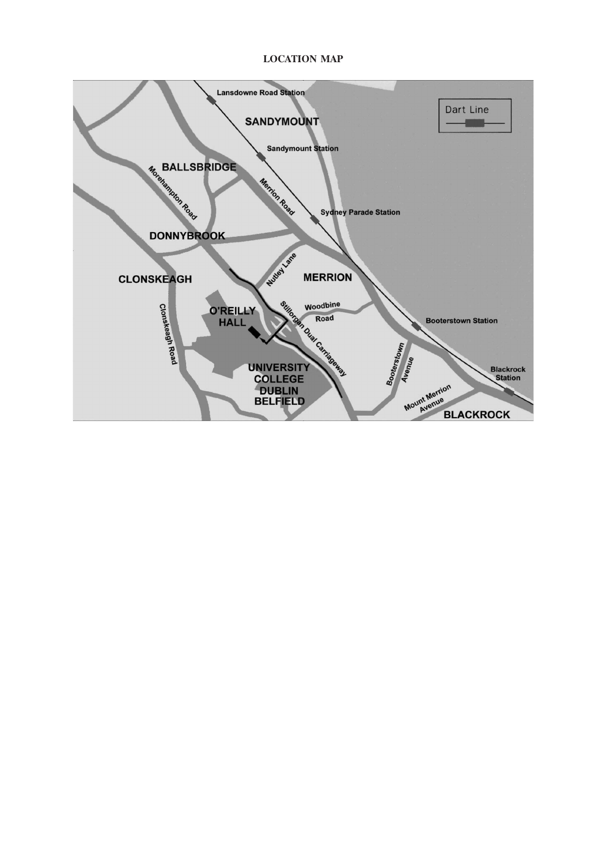# **LOCATION MAP**